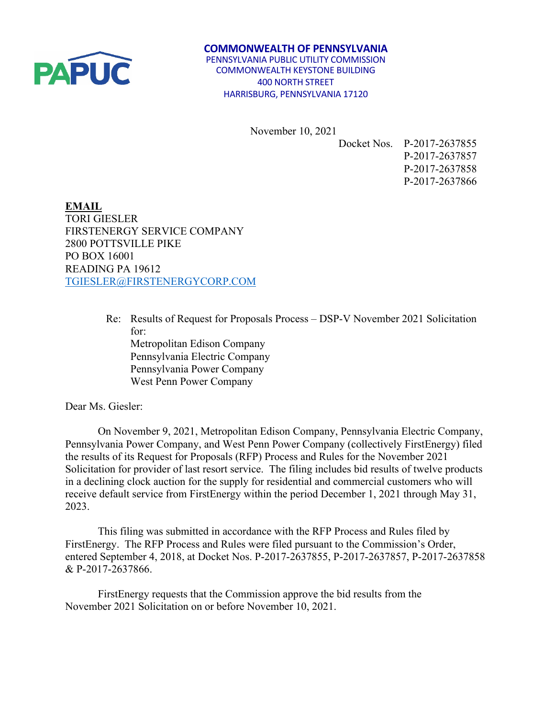

 **COMMONWEALTH OF PENNSYLVANIA** PENNSYLVANIA PUBLIC UTILITY COMMISSION COMMONWEALTH KEYSTONE BUILDING 400 NORTH STREET HARRISBURG, PENNSYLVANIA 17120

November 10, 2021

Docket Nos. P-2017-2637855 P-2017-2637857 P-2017-2637858 P-2017-2637866

**EMAIL** TORI GIESLER FIRSTENERGY SERVICE COMPANY 2800 POTTSVILLE PIKE PO BOX 16001 READING PA 19612 [TGIESLER@FIRSTENERGYCORP.COM](mailto:TGIESLER@FIRSTENERGYCORP.COM)

> Re: Results of Request for Proposals Process – DSP-V November 2021 Solicitation for: Metropolitan Edison Company Pennsylvania Electric Company Pennsylvania Power Company West Penn Power Company

Dear Ms. Giesler:

On November 9, 2021, Metropolitan Edison Company, Pennsylvania Electric Company, Pennsylvania Power Company, and West Penn Power Company (collectively FirstEnergy) filed the results of its Request for Proposals (RFP) Process and Rules for the November 2021 Solicitation for provider of last resort service. The filing includes bid results of twelve products in a declining clock auction for the supply for residential and commercial customers who will receive default service from FirstEnergy within the period December 1, 2021 through May 31, 2023.

This filing was submitted in accordance with the RFP Process and Rules filed by FirstEnergy. The RFP Process and Rules were filed pursuant to the Commission's Order, entered September 4, 2018, at Docket Nos. P-2017-2637855, P-2017-2637857, P-2017-2637858 & P-2017-2637866.

FirstEnergy requests that the Commission approve the bid results from the November 2021 Solicitation on or before November 10, 2021.